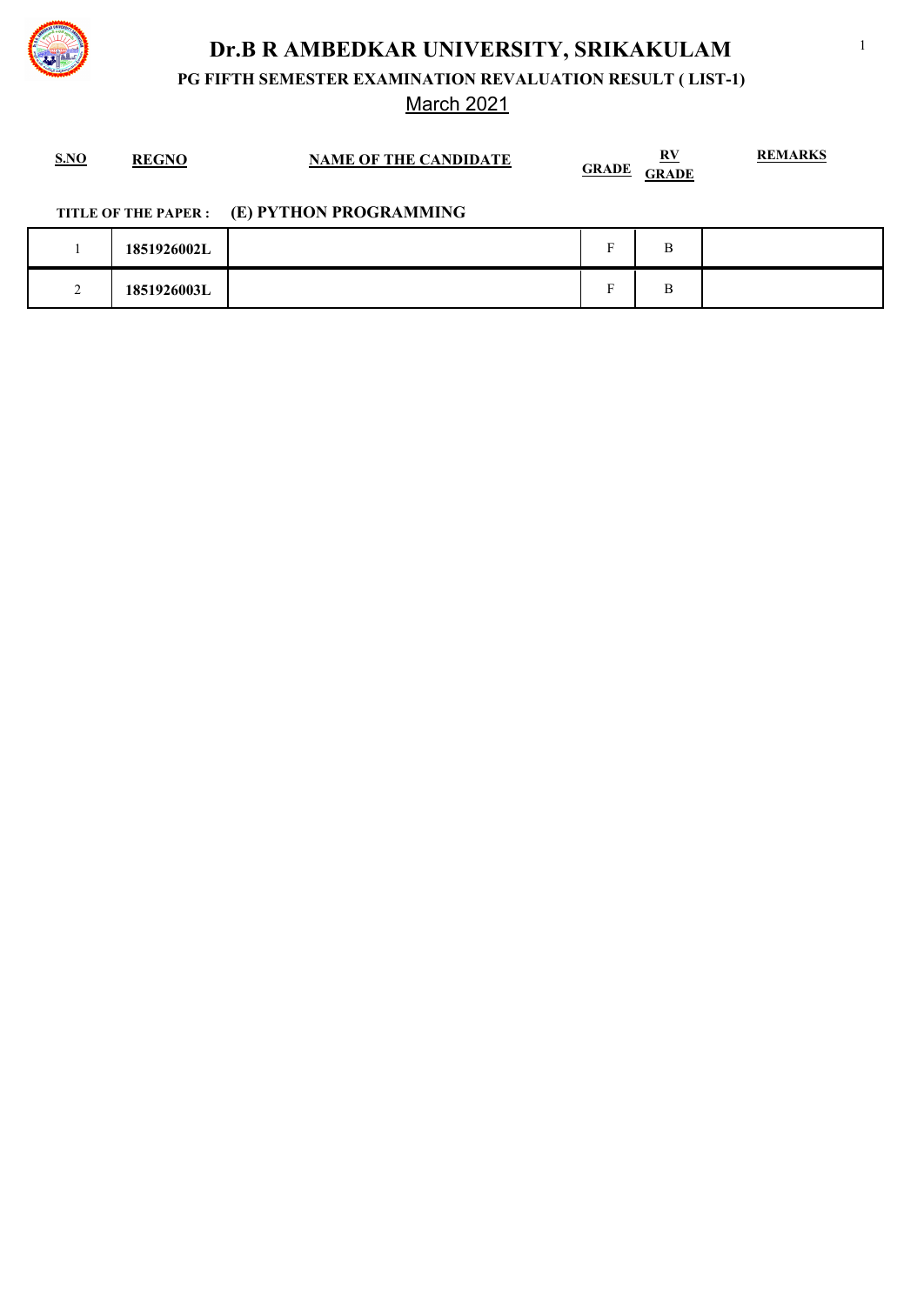

**PG FIFTH SEMESTER EXAMINATION REVALUATION RESULT ( LIST-1)**

March 2021

| S.NO | <b>REGNO</b> | <b>NAME OF THE CANDIDATE</b> | R٧<br><b>GRADE</b><br><b>GRADE</b> | <b>REMARKS</b> |
|------|--------------|------------------------------|------------------------------------|----------------|
|      |              |                              |                                    |                |

### **TITLE OF THE PAPER : (E) PYTHON PROGRAMMING**

| 1851926002L | $\blacksquare$           | $\mathbf{r}$<br>ၪ |  |
|-------------|--------------------------|-------------------|--|
| 1851926003L | $\overline{\phantom{0}}$ | $\mathbf{r}$<br>⊅ |  |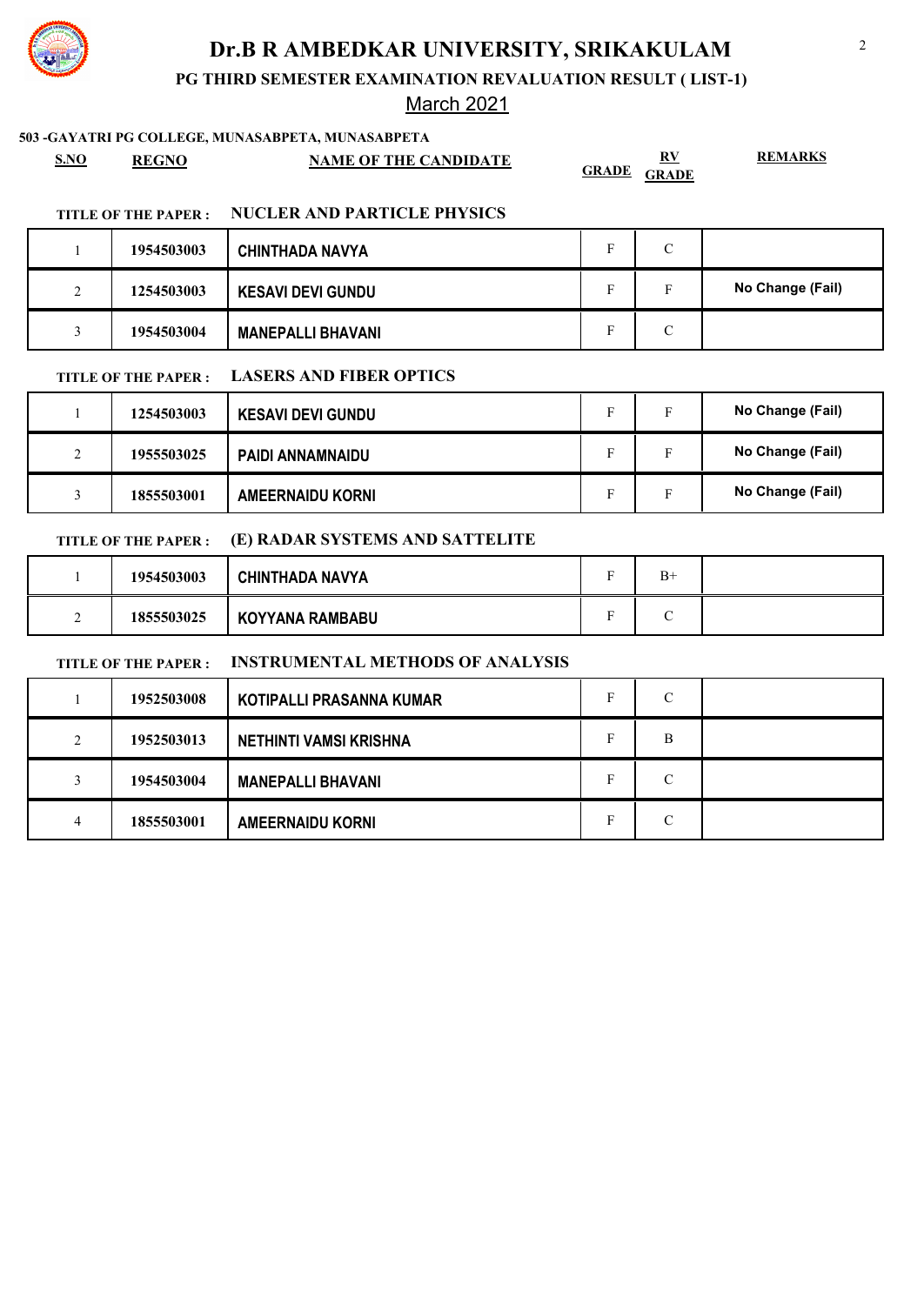

**PG THIRD SEMESTER EXAMINATION REVALUATION RESULT ( LIST-1)**

### March 2021

#### **503 -GAYATRI PG COLLEGE, MUNASABPETA, MUNASABPETA**

| <b>S.NO</b> | <b>REGNO</b> | <b>NAME OF THE CANDIDATE</b> | -RV<br><b>GRADE</b><br><b>GRADE</b> | <b>REMARKS</b> |
|-------------|--------------|------------------------------|-------------------------------------|----------------|
|-------------|--------------|------------------------------|-------------------------------------|----------------|

#### **TITLE OF THE PAPER : NUCLER AND PARTICLE PHYSICS**

|             | 1954503003 | <b>CHINTHADA NAVYA</b>   | C |                  |
|-------------|------------|--------------------------|---|------------------|
| $\sim$<br>∠ | 1254503003 | <b>KESAVI DEVI GUNDU</b> |   | No Change (Fail) |
|             | 1954503004 | <b>MANEPALLI BHAVANI</b> | С |                  |

#### **TITLE OF THE PAPER : LASERS AND FIBER OPTICS**

|                    | 1254503003 | <b>KESAVI DEVI GUNDU</b> | T.             | Е | No Change (Fail) |
|--------------------|------------|--------------------------|----------------|---|------------------|
| $\mathcal{L}$<br>∠ | 1955503025 | <b>PAIDI ANNAMNAIDU</b>  | $\blacksquare$ | Е | No Change (Fail) |
|                    | 1855503001 | <b>AMEERNAIDU KORNI</b>  |                | Е | No Change (Fail) |

### **TITLE OF THE PAPER : (E) RADAR SYSTEMS AND SATTELITE**

|   | 1954503003 | <b>CHINTHADA NAVYA</b> | $\overline{\phantom{a}}$ | $B+$ |  |
|---|------------|------------------------|--------------------------|------|--|
| - | 1855503025 | <b>KOYYANA RAMBABU</b> | ∽                        | ⌒    |  |

### **TITLE OF THE PAPER : INSTRUMENTAL METHODS OF ANALYSIS**

|   | 1952503008 | KOTIPALLI PRASANNA KUMAR      |   | С |  |
|---|------------|-------------------------------|---|---|--|
| ◠ | 1952503013 | <b>NETHINTI VAMSI KRISHNA</b> | Е | B |  |
|   | 1954503004 | <b>MANEPALLI BHAVANI</b>      | Е | C |  |
|   | 1855503001 | <b>AMEERNAIDU KORNI</b>       |   | C |  |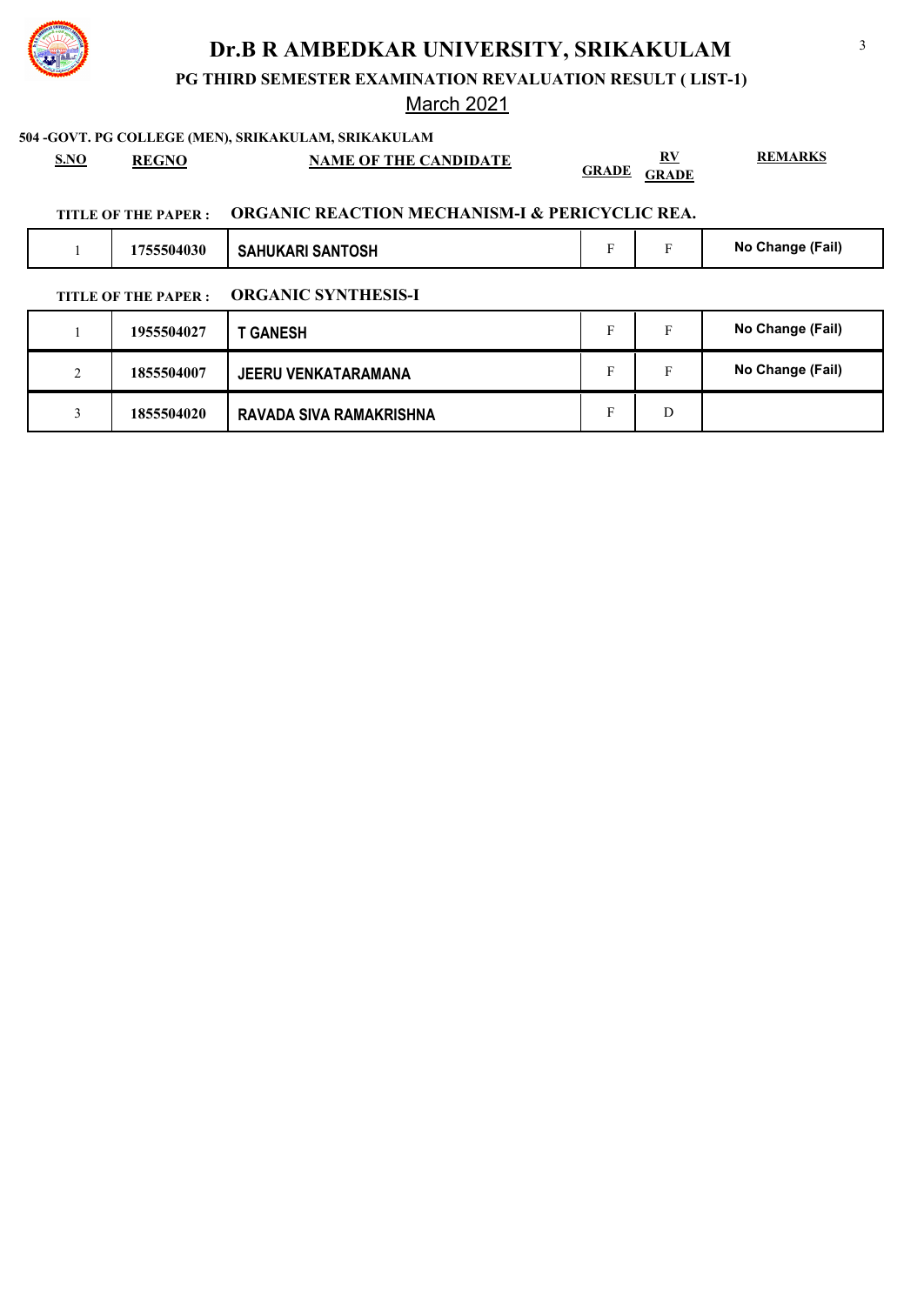

**PG THIRD SEMESTER EXAMINATION REVALUATION RESULT ( LIST-1)**

### March 2021

#### **504 -GOVT. PG COLLEGE (MEN), SRIKAKULAM, SRIKAKULAM**

**S.NO REGNO NAME OF THE CANDIDATE RV GRADE GRADE** **REMARKS**

3

### **TITLE OF THE PAPER : ORGANIC REACTION MECHANISM-I & PERICYCLIC REA.**

3 **1855504020 RAVADA SIVA RAMAKRISHNA** F D

| 1755504030<br><b>SAHUKARI SANTOSH</b>              | Е | Е  | No Change (Fail) |
|----------------------------------------------------|---|----|------------------|
| <b>ORGANIC SYNTHESIS-I</b><br>TITLE OF THE PAPER : |   |    |                  |
| 1955504027<br><b>GANESH</b>                        | F | F. | No Change (Fail) |

2 **1855504007** JEERU VENKATARAMANA **F** F No Change (Fail)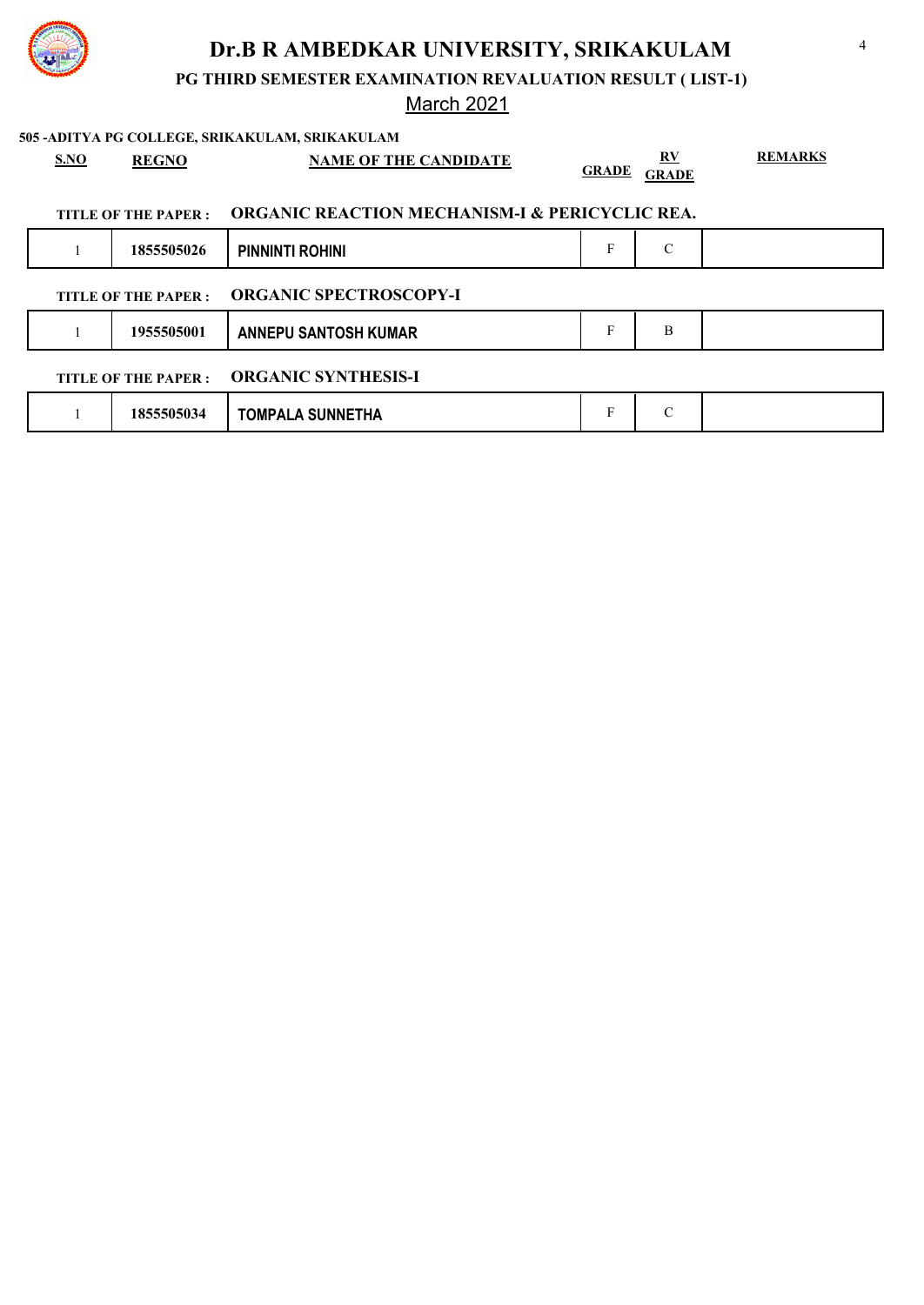

**PG THIRD SEMESTER EXAMINATION REVALUATION RESULT ( LIST-1)**

# March 2021

|                                                    |                                                                                   |                      | 505 - ADITYA PG COLLEGE, SRIKAKULAM, SRIKAKULAM |              |                    |                |  |
|----------------------------------------------------|-----------------------------------------------------------------------------------|----------------------|-------------------------------------------------|--------------|--------------------|----------------|--|
|                                                    | S.NO                                                                              | <b>REGNO</b>         | <b>NAME OF THE CANDIDATE</b>                    | <b>GRADE</b> | RV<br><b>GRADE</b> | <b>REMARKS</b> |  |
|                                                    | <b>ORGANIC REACTION MECHANISM-I &amp; PERICYCLIC REA.</b><br>TITLE OF THE PAPER : |                      |                                                 |              |                    |                |  |
|                                                    |                                                                                   | 1855505026           | <b>PINNINTI ROHINI</b>                          | F            | $\mathcal{C}$      |                |  |
|                                                    |                                                                                   | TITLE OF THE PAPER : | <b>ORGANIC SPECTROSCOPY-I</b>                   |              |                    |                |  |
|                                                    |                                                                                   | 1955505001           | <b>ANNEPU SANTOSH KUMAR</b>                     | F            | B                  |                |  |
| <b>ORGANIC SYNTHESIS-I</b><br>TITLE OF THE PAPER : |                                                                                   |                      |                                                 |              |                    |                |  |
|                                                    |                                                                                   | 1855505034           | <b>TOMPALA SUNNETHA</b>                         | F            | $\mathcal{C}$      |                |  |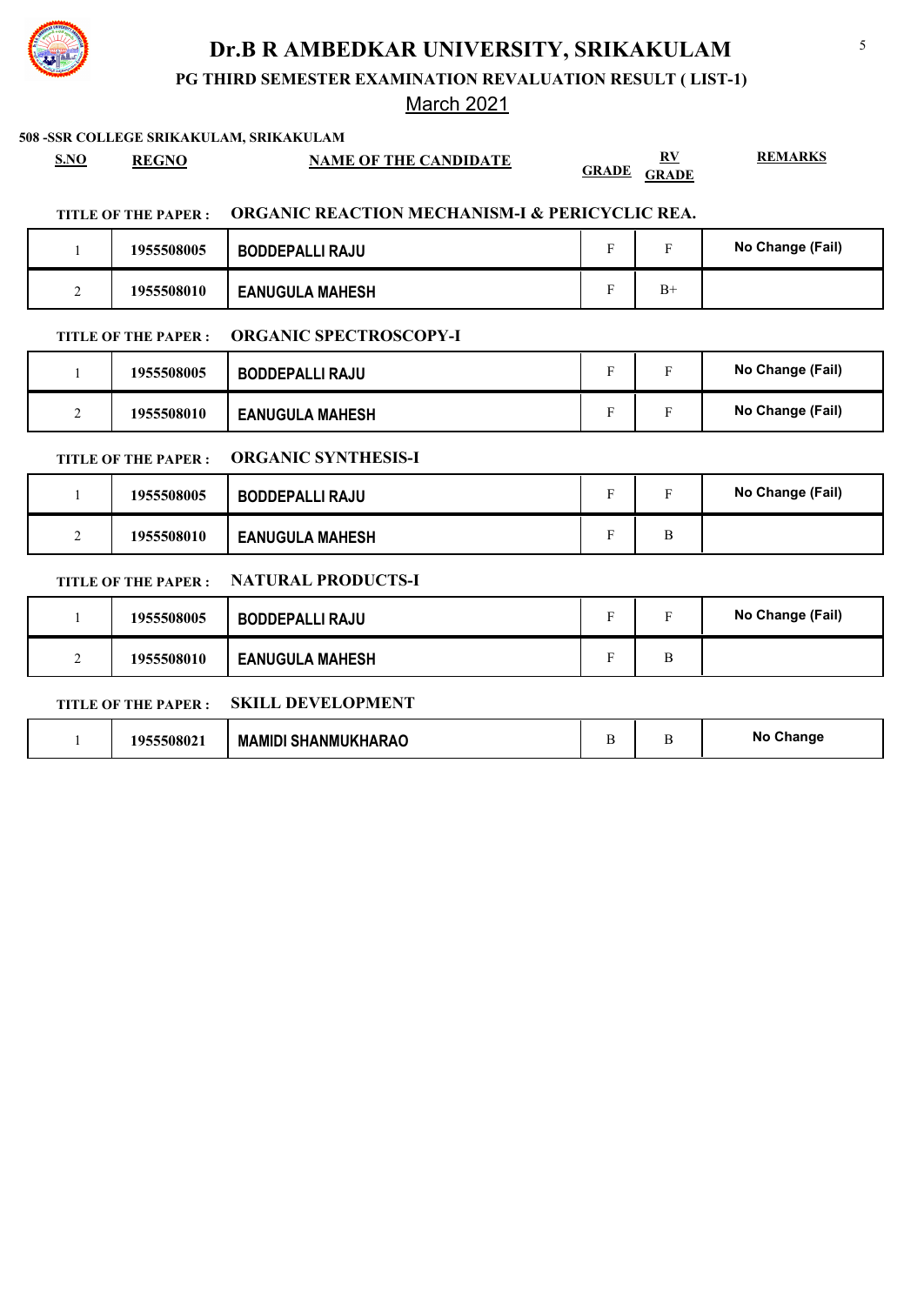

**PG THIRD SEMESTER EXAMINATION REVALUATION RESULT ( LIST-1)**

### March 2021

#### **508 -SSR COLLEGE SRIKAKULAM, SRIKAKULAM**

**S.NO REGNO NAME OF THE CANDIDATE RV** 

**REMARKS**

**GRADE GRADE**

#### **TITLE OF THE PAPER : ORGANIC REACTION MECHANISM-I & PERICYCLIC REA.**

|   | 1955508005 | <b>BODDEPALLI RAJU</b> |      | No Change (Fail) |
|---|------------|------------------------|------|------------------|
| ∸ | 1955508010 | <b>EANUGULA MAHESH</b> | $B+$ |                  |

### **TITLE OF THE PAPER : ORGANIC SPECTROSCOPY-I**

|             | 1955508005 | <b>BODDEPALLI RAJU</b> |  | No Change (Fail) |
|-------------|------------|------------------------|--|------------------|
| $\sim$<br>∼ | 1955508010 | <b>EANUGULA MAHESH</b> |  | No Change (Fail) |

#### **TITLE OF THE PAPER : ORGANIC SYNTHESIS-I**

|        | 1955508005 | <b>BODDEPALLI RAJU</b> | $\blacksquare$ | No Change (Fail) |
|--------|------------|------------------------|----------------|------------------|
| ◠<br>∼ | 1955508010 | <b>EANUGULA MAHESH</b> |                |                  |

### **TITLE OF THE PAPER : NATURAL PRODUCTS-I**

|        | 1955508005 | <b>BODDEPALLI RAJU</b> | $\blacksquare$ |   | No Change (Fail) |
|--------|------------|------------------------|----------------|---|------------------|
| ◠<br>∠ | 1955508010 | <b>EANUGULA MAHESH</b> | $\blacksquare$ | Β |                  |

### **TITLE OF THE PAPER : SKILL DEVELOPMENT**

|  | 195550802 | <b>MAMIDI SHANMUKHARAO</b> |  |  | Change<br><b>NC</b> |
|--|-----------|----------------------------|--|--|---------------------|
|--|-----------|----------------------------|--|--|---------------------|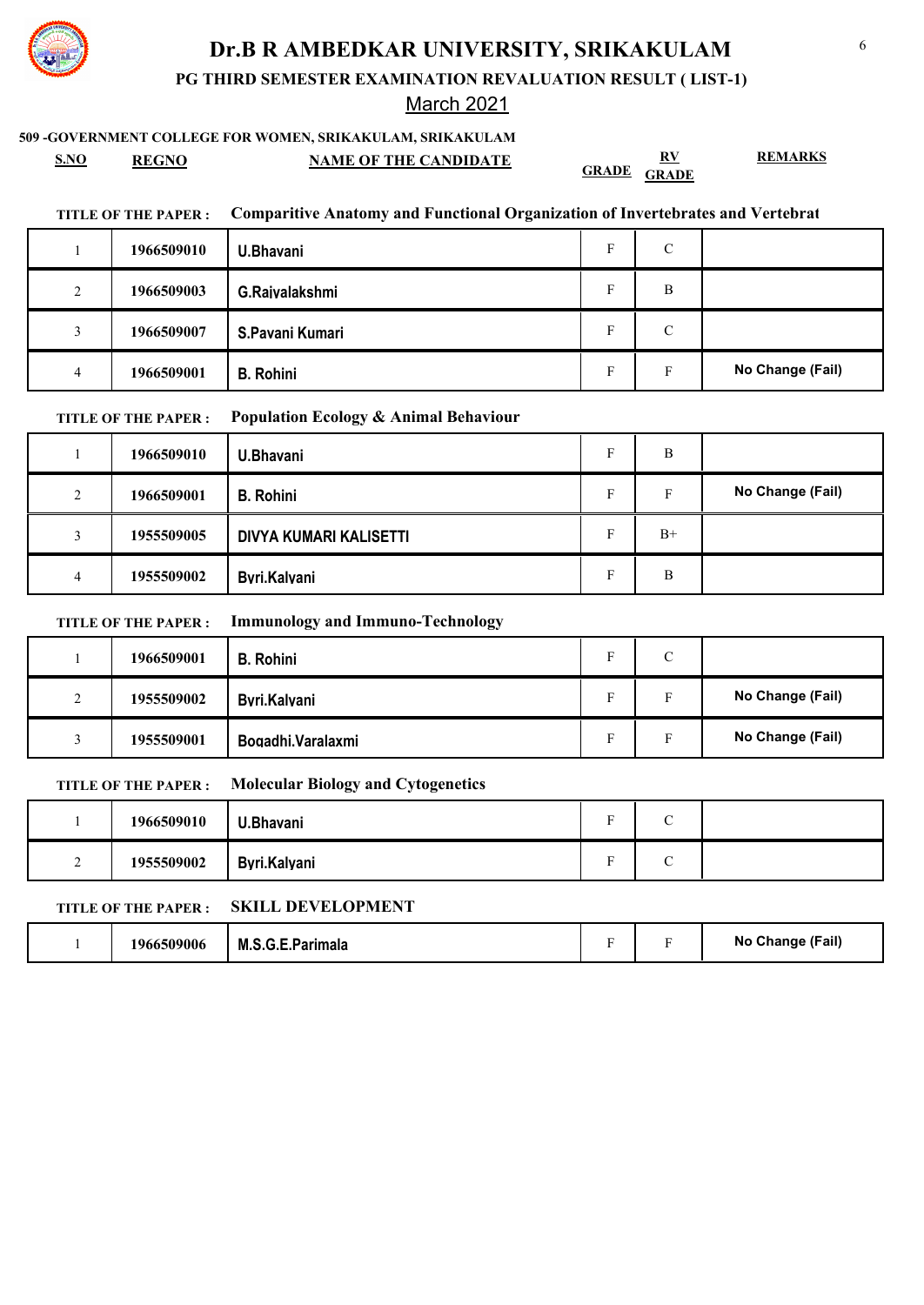

**PG THIRD SEMESTER EXAMINATION REVALUATION RESULT ( LIST-1)**

### March 2021

### **509 -GOVERNMENT COLLEGE FOR WOMEN, SRIKAKULAM, SRIKAKULAM**

**S.NO REGNO NAME OF THE CANDIDATE RV GRADE GRADE**

**TITLE OF THE PAPER : Comparitive Anatomy and Functional Organization of Invertebrates and Vertebrates**

|   | 1966509010 | U.Bhavani        | Е | $\mathcal{C}$ |                  |
|---|------------|------------------|---|---------------|------------------|
| 2 | 1966509003 | G.Raivalakshmi   | Е | B             |                  |
| 3 | 1966509007 | S.Pavani Kumari  | Е | C             |                  |
| 4 | 1966509001 | <b>B.</b> Rohini | Е | F             | No Change (Fail) |

#### **TITLE OF THE PAPER : Population Ecology & Animal Behaviour**

|   | 1966509010 | U.Bhavani              |   | B    |                  |
|---|------------|------------------------|---|------|------------------|
| 2 | 1966509001 | <b>B.</b> Rohini       | Е | Е    | No Change (Fail) |
| 3 | 1955509005 | DIVYA KUMARI KALISETTI |   | $B+$ |                  |
| 4 | 1955509002 | Byri.Kalyani           |   | B    |                  |

#### **TITLE OF THE PAPER : Immunology and Immuno-Technology**

|               | 1966509001 | <b>B.</b> Rohini  | $\overline{\phantom{a}}$ | С |                  |
|---------------|------------|-------------------|--------------------------|---|------------------|
| $\gamma$<br>∸ | 1955509002 | Byri.Kalyani      |                          |   | No Change (Fail) |
|               | 1955509001 | Bogadhi.Varalaxmi |                          |   | No Change (Fail) |

#### **TITLE OF THE PAPER : Molecular Biology and Cytogenetics**

|   | 1966509010 | U.Bhavani    | ÷ | $\overline{\phantom{0}}$ |  |
|---|------------|--------------|---|--------------------------|--|
| ∼ | 1955509002 | Byri.Kalyani | ÷ | ⌒                        |  |

#### **TITLE OF THE PAPER : SKILL DEVELOPMENT**

|  | 1966509006 | M.S.G.E.Parimala |  |  | No Change (Fail) |
|--|------------|------------------|--|--|------------------|
|--|------------|------------------|--|--|------------------|

**REMARKS**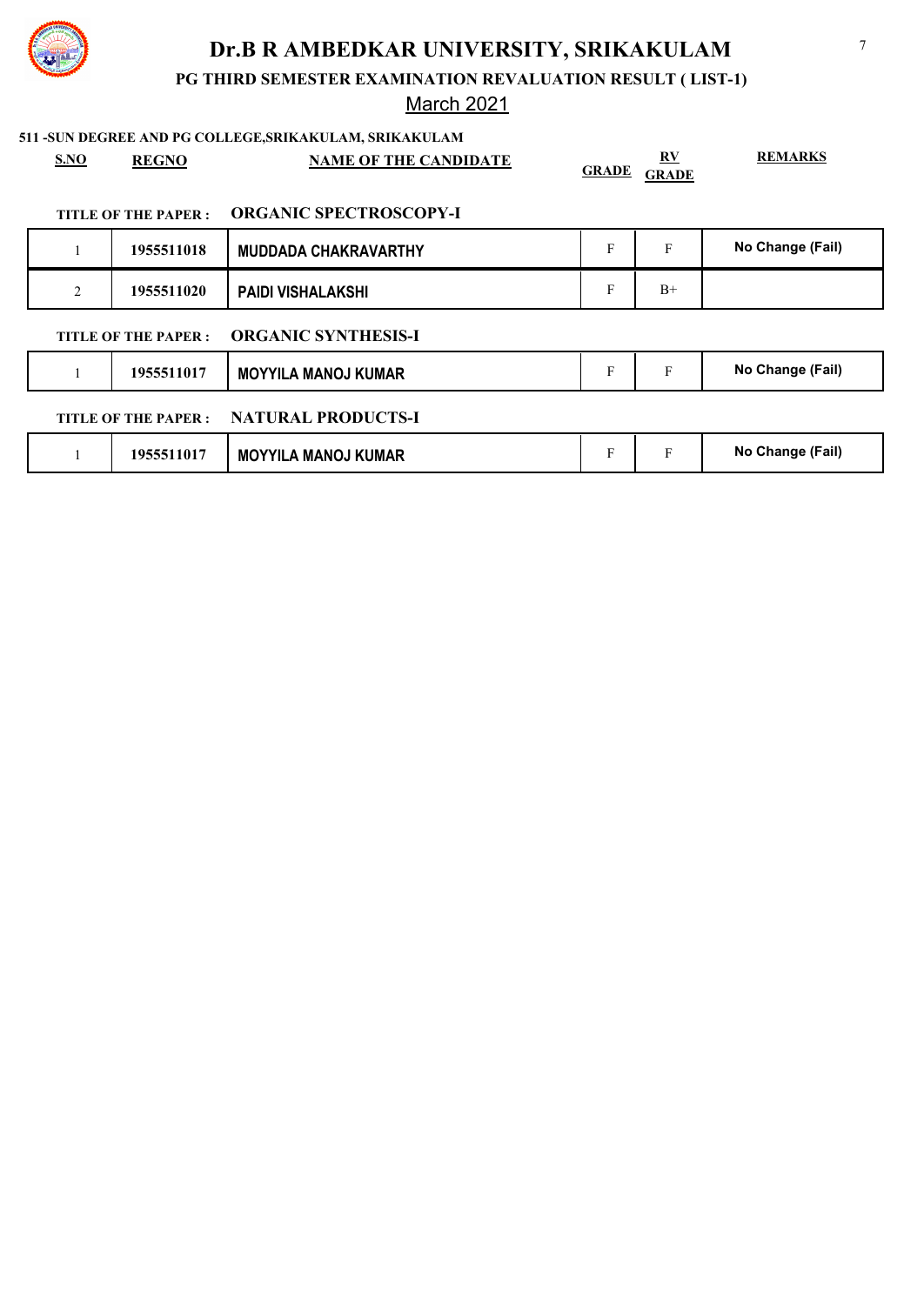

**PG THIRD SEMESTER EXAMINATION REVALUATION RESULT ( LIST-1)**

# March 2021

| <b>S.NO</b> | <b>REGNO</b>         | 511 - SUN DEGREE AND PG COLLEGE, SRIKAKULAM, SRIKAKULAM<br><b>NAME OF THE CANDIDATE</b> | <b>GRADE</b> | $\underline{\mathbf{R}}\underline{\mathbf{V}}$<br><b>GRADE</b> | <b>REMARKS</b>   |
|-------------|----------------------|-----------------------------------------------------------------------------------------|--------------|----------------------------------------------------------------|------------------|
|             | TITLE OF THE PAPER : | <b>ORGANIC SPECTROSCOPY-I</b>                                                           |              |                                                                |                  |
|             | 1955511018           | <b>MUDDADA CHAKRAVARTHY</b>                                                             | F            | F                                                              | No Change (Fail) |
| 2           | 1955511020           | <b>PAIDI VISHALAKSHI</b>                                                                | F            | $B+$                                                           |                  |
|             | TITLE OF THE PAPER : | <b>ORGANIC SYNTHESIS-I</b>                                                              |              |                                                                |                  |
|             | 1955511017           | <b>MOYYILA MANOJ KUMAR</b>                                                              | F            | $\mathbf F$                                                    | No Change (Fail) |
|             | TITLE OF THE PAPER : | <b>NATURAL PRODUCTS-I</b>                                                               |              |                                                                |                  |
|             | 1955511017           | <b>MOYYILA MANOJ KUMAR</b>                                                              | F            | F                                                              | No Change (Fail) |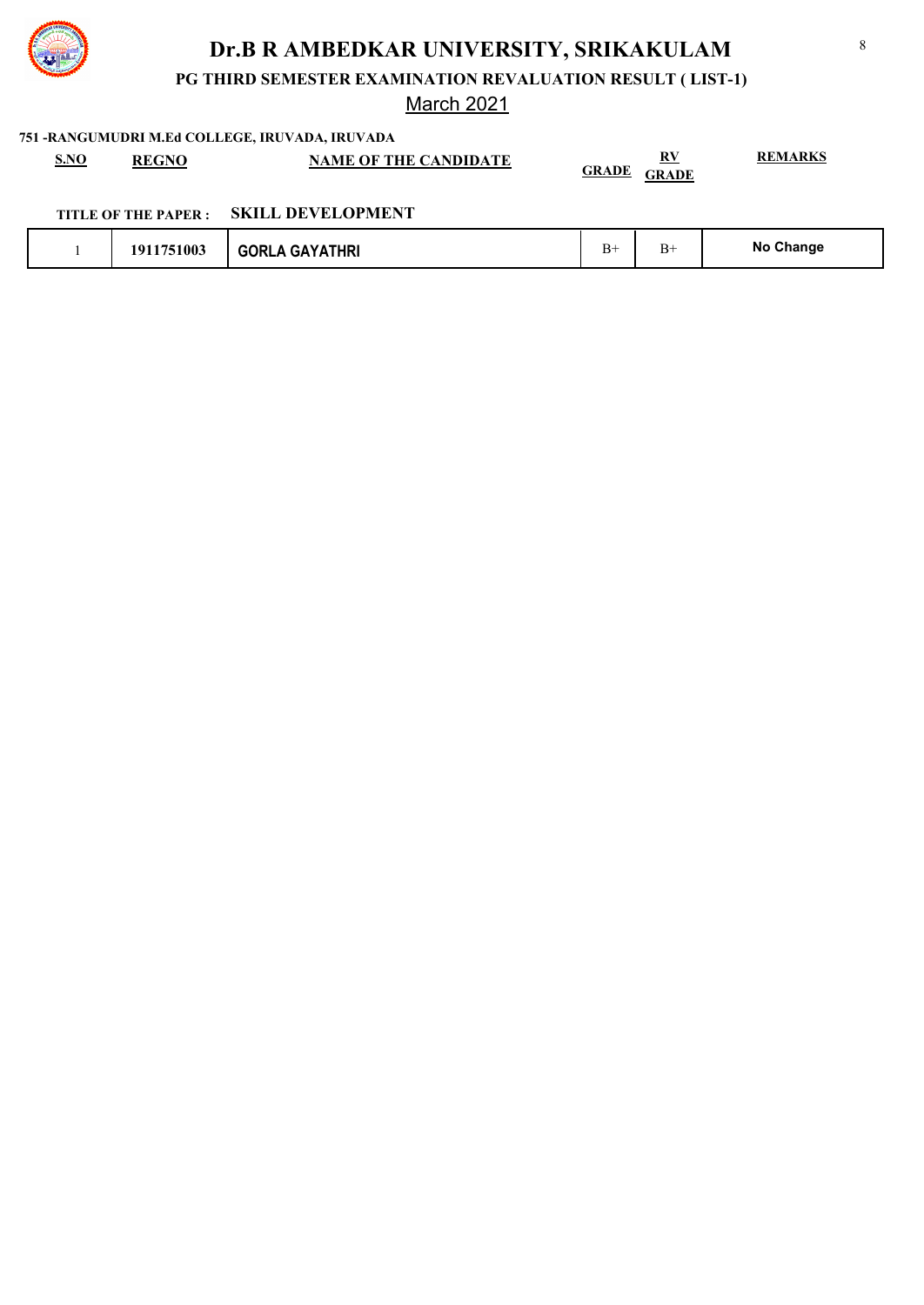

**PG THIRD SEMESTER EXAMINATION REVALUATION RESULT ( LIST-1)**

March 2021

**751 -RANGUMUDRI M.Ed COLLEGE, IRUVADA, IRUVADA**

| S.NO | <b>REGNO</b> | <b>NAME OF THE CANDIDATE</b> | DV.<br>17. I<br><b>GRADE</b><br><b>GRADE</b> | <b>REMARKS</b> |
|------|--------------|------------------------------|----------------------------------------------|----------------|
|      |              |                              |                                              |                |

|  | TITLE OF THE PAPER : | <b>SKILL DEVELOPMENT</b> |
|--|----------------------|--------------------------|
|--|----------------------|--------------------------|

|  | 1911751003 | <b>GORLA GAYATHRI</b> | B+ | ь- | No Change |
|--|------------|-----------------------|----|----|-----------|
|--|------------|-----------------------|----|----|-----------|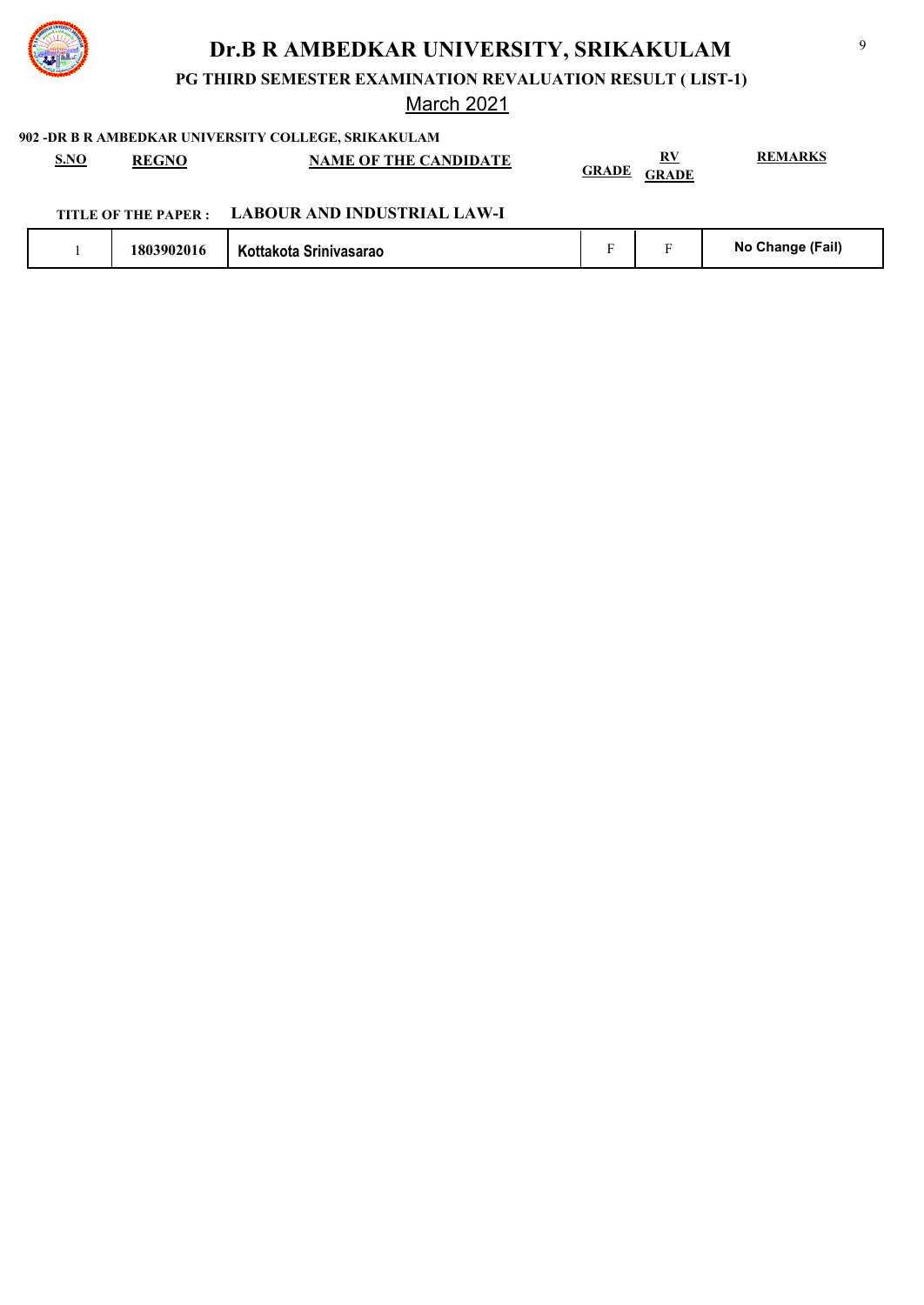

**PG THIRD SEMESTER EXAMINATION REVALUATION RESULT ( LIST-1)**

### March 2021

| <u>S.NO</u><br><b>REGNO</b> | <b>NAME OF THE CANDIDATE</b> | R٧<br><b>GRADE</b><br>GRADE | <b>REMARKS</b> |
|-----------------------------|------------------------------|-----------------------------|----------------|
| TITLE OF THE PAPER :        | LABOUR AND INDUSTRIAL LAW-I  |                             |                |

|  | 1803902016 | Kottakota Srinivasarao |  |  | No Change (Fail) |
|--|------------|------------------------|--|--|------------------|
|--|------------|------------------------|--|--|------------------|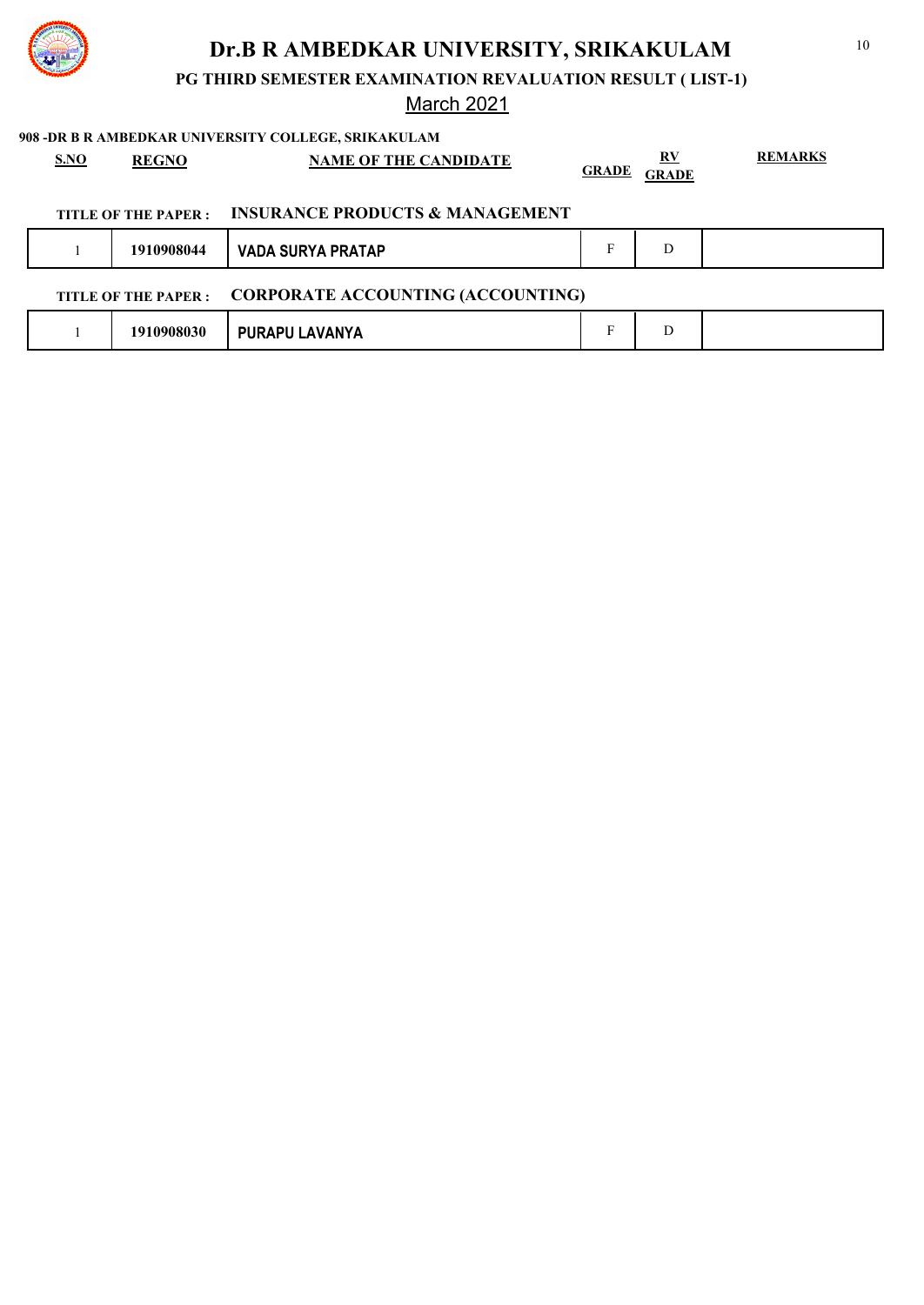

**PG THIRD SEMESTER EXAMINATION REVALUATION RESULT ( LIST-1)**

### March 2021

|                                                                  | SNO | <b>REGNO</b>         | <b>NAME OF THE CANDIDATE</b>               | <b>GRADE</b> | RV<br><b>GRADE</b> | <b>REMARKS</b> |
|------------------------------------------------------------------|-----|----------------------|--------------------------------------------|--------------|--------------------|----------------|
|                                                                  |     | TITLE OF THE PAPER : | <b>INSURANCE PRODUCTS &amp; MANAGEMENT</b> |              |                    |                |
|                                                                  |     | 1910908044           | <b>VADA SURYA PRATAP</b>                   | F            | D                  |                |
| <b>CORPORATE ACCOUNTING (ACCOUNTING)</b><br>TITLE OF THE PAPER : |     |                      |                                            |              |                    |                |
|                                                                  |     | 1910908030           | PURAPU LAVANYA                             | F            | D                  |                |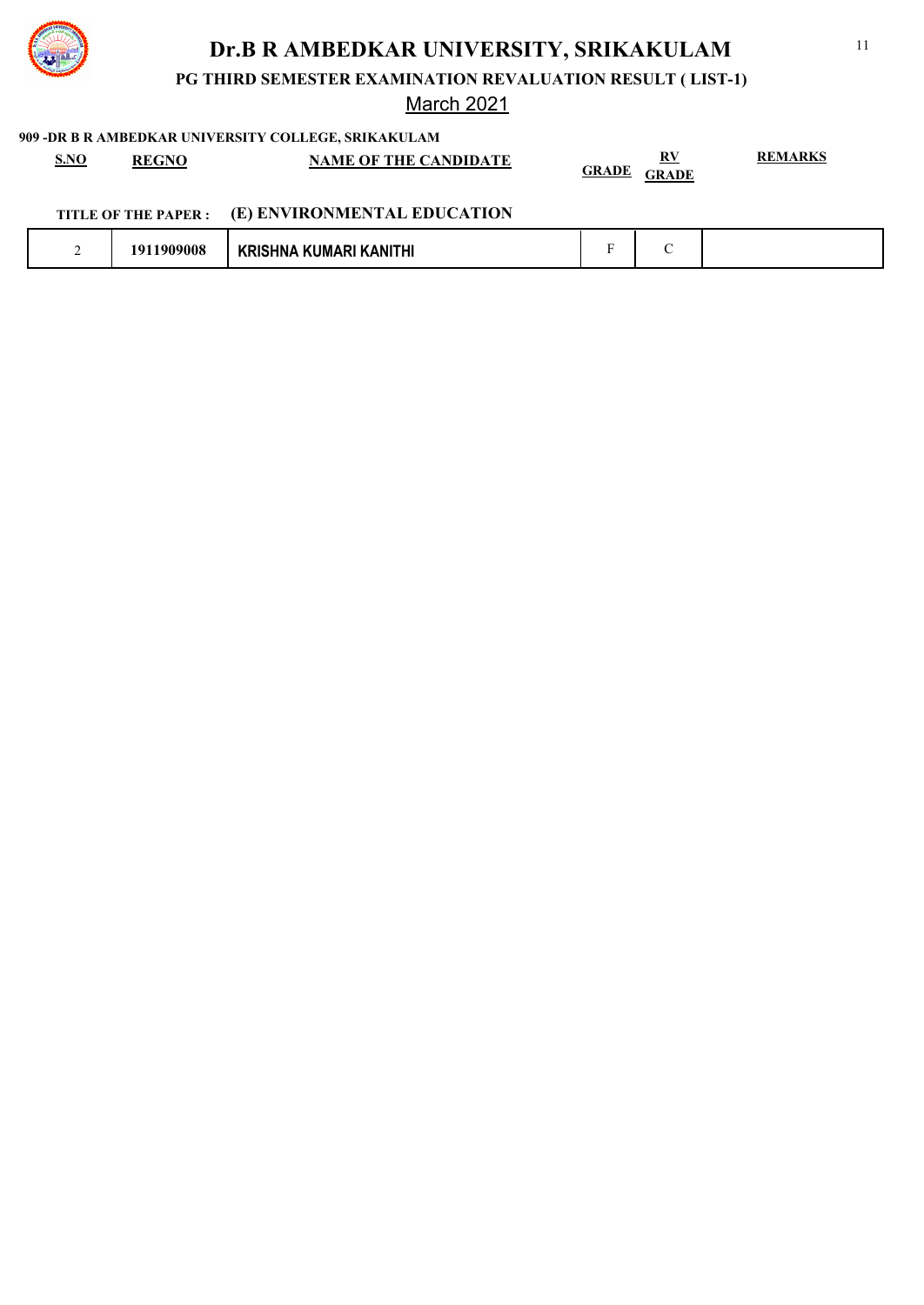

**PG THIRD SEMESTER EXAMINATION REVALUATION RESULT ( LIST-1)**

### March 2021

| <u>S.NO</u><br><b>REGNO</b> | <b>NAME OF THE CANDIDATE</b>                     | <b>GRADE</b><br><b>GRADE</b> | <b>REMARKS</b> |
|-----------------------------|--------------------------------------------------|------------------------------|----------------|
|                             | TITLE OF THE PAPER : (E) ENVIRONMENTAL EDUCATION |                              |                |

| <u>—</u> | 0.00<br>חו<br>ww. | <b>MANITHI</b><br>KI IM. |  |  |  |
|----------|-------------------|--------------------------|--|--|--|
|----------|-------------------|--------------------------|--|--|--|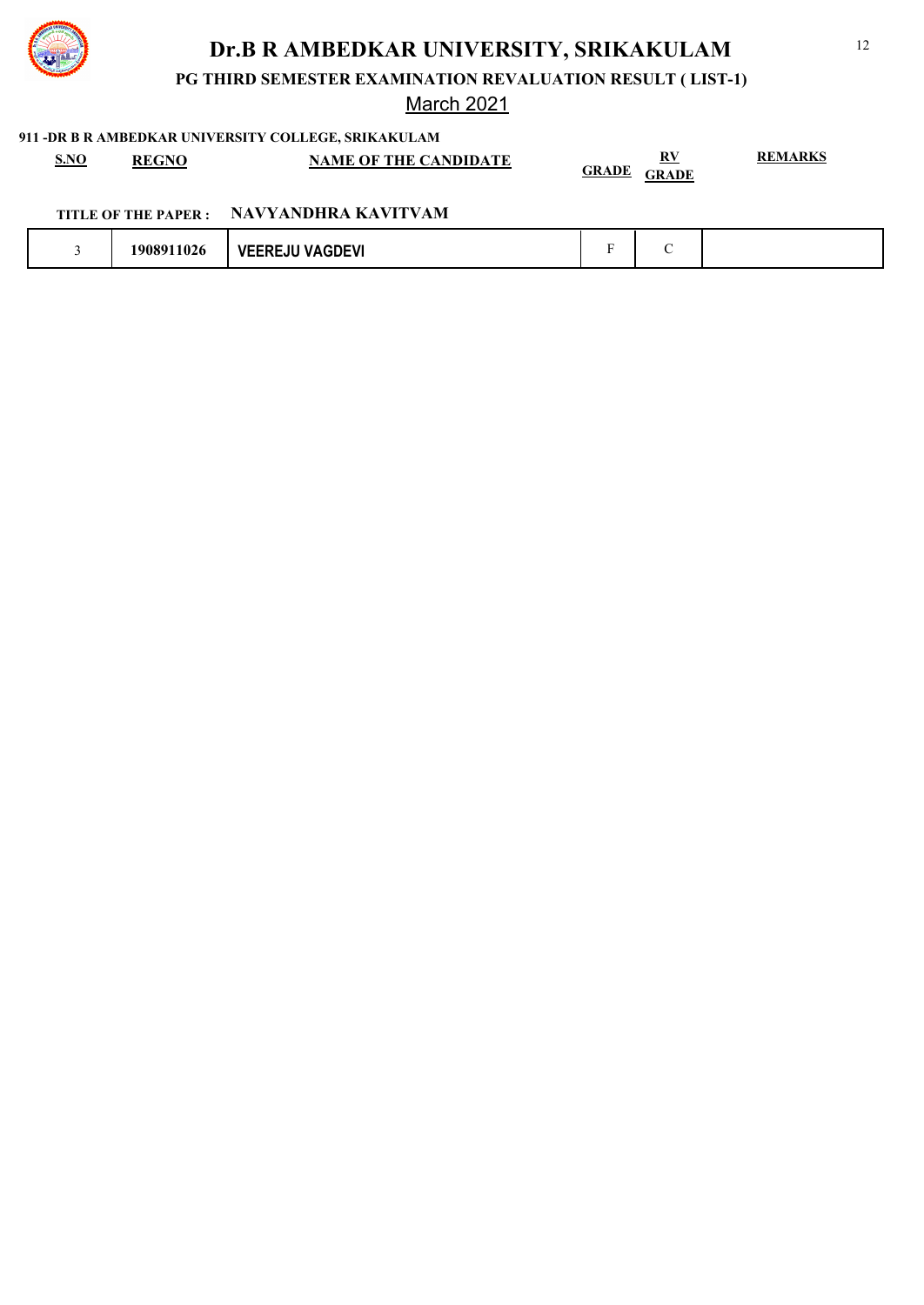

**PG THIRD SEMESTER EXAMINATION REVALUATION RESULT ( LIST-1)**

### March 2021

### **911 -DR B R AMBEDKAR UNIVERSITY COLLEGE, SRIKAKULAM**

| S.NO | <b>REGNO</b> | <b>NAME OF THE CANDIDATE</b> | $\bf RV$<br><b>GRADE</b><br><b>GRADE</b> | EMARKS |
|------|--------------|------------------------------|------------------------------------------|--------|
|      |              |                              |                                          |        |

## **TITLE OF THE PAPER : NAVYANDHRA KAVITVAM**

|  | $\sim$ $\sim$ $\sim$<br>19089<br>.1026 | <b>JU VAGDEVI</b><br>.<br>vŀ |  |  |  |
|--|----------------------------------------|------------------------------|--|--|--|
|--|----------------------------------------|------------------------------|--|--|--|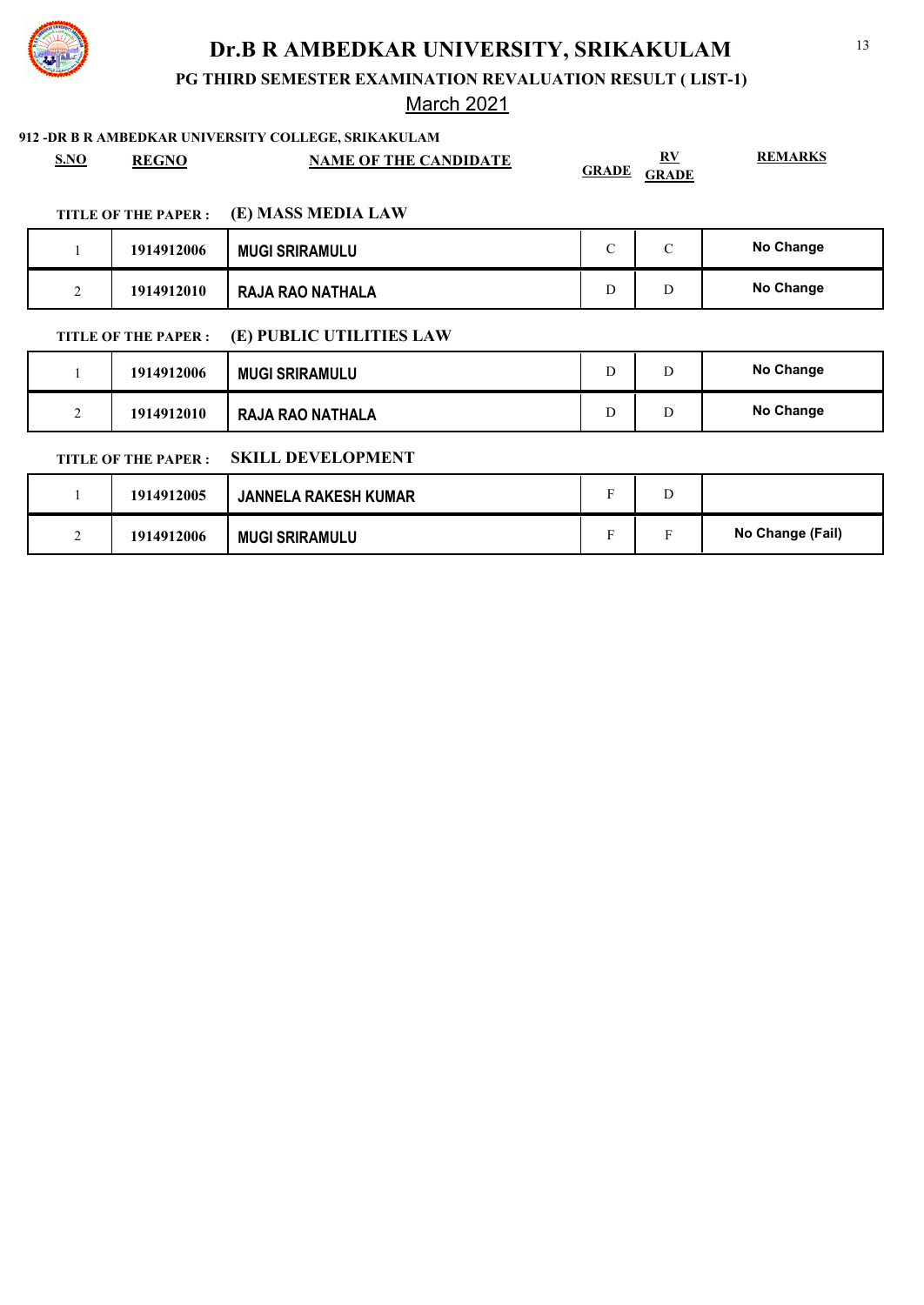

**PG THIRD SEMESTER EXAMINATION REVALUATION RESULT ( LIST-1)**

### March 2021

| S.NO           | <b>REGNO</b>               | <b>NAME OF THE CANDIDATE</b> | <b>GRADE</b>  | $\underline{\mathbf{R}}\underline{\mathbf{V}}$<br><b>GRADE</b> | <b>REMARKS</b>   |
|----------------|----------------------------|------------------------------|---------------|----------------------------------------------------------------|------------------|
|                | <b>TITLE OF THE PAPER:</b> | (E) MASS MEDIA LAW           |               |                                                                |                  |
|                | 1914912006                 | <b>MUGI SRIRAMULU</b>        | $\mathcal{C}$ | $\mathcal{C}$                                                  | No Change        |
| $\overline{2}$ | 1914912010                 | <b>RAJA RAO NATHALA</b>      | D             | D                                                              | <b>No Change</b> |
|                | <b>TITLE OF THE PAPER:</b> | (E) PUBLIC UTILITIES LAW     |               |                                                                |                  |
| 1              | 1914912006                 | <b>MUGI SRIRAMULU</b>        | D             | D                                                              | <b>No Change</b> |
| $\overline{2}$ | 1914912010                 | <b>RAJA RAO NATHALA</b>      | D             | D                                                              | No Change        |
|                | <b>TITLE OF THE PAPER:</b> | <b>SKILL DEVELOPMENT</b>     |               |                                                                |                  |
|                | 1914912005                 | <b>JANNELA RAKESH KUMAR</b>  | F             | D                                                              |                  |
| 2              | 1914912006                 | <b>MUGI SRIRAMULU</b>        | F             | $\mathbf F$                                                    | No Change (Fail) |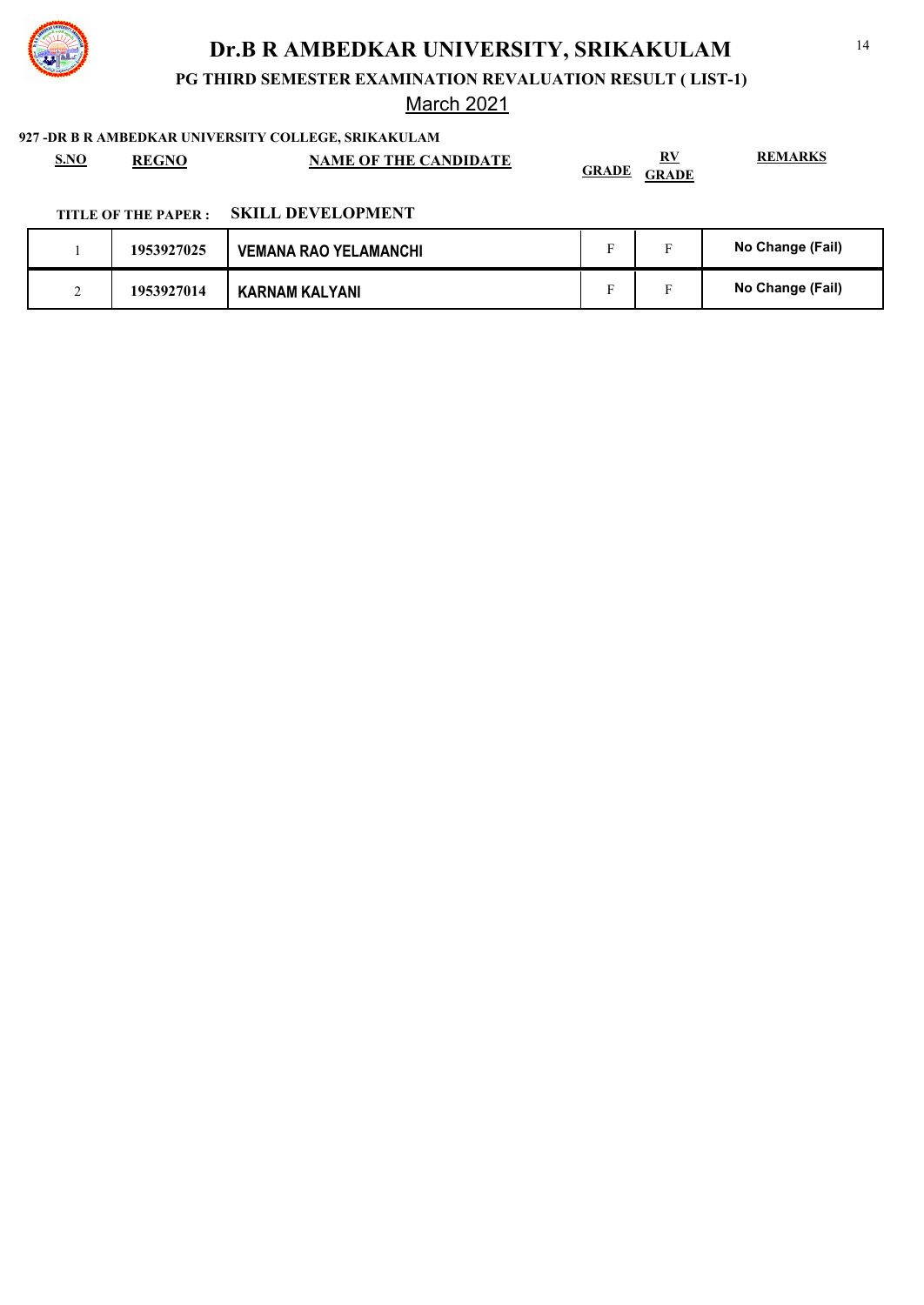

**PG THIRD SEMESTER EXAMINATION REVALUATION RESULT ( LIST-1)**

March 2021

#### **927 -DR B R AMBEDKAR UNIVERSITY COLLEGE, SRIKAKULAM**

| S.NO | <b>REGNO</b> | <b>NAME OF THE CANDIDATE</b> | DV.<br>n :                   | <b>REMARKS</b> |
|------|--------------|------------------------------|------------------------------|----------------|
|      |              |                              | <b>GRADE</b><br><b>GRADE</b> |                |

### **TITLE OF THE PAPER : SKILL DEVELOPMENT**

|  | 1953927025 | <b>VEMANA RAO YELAMANCHI</b> | - | $\blacksquare$ | No Change (Fail) |
|--|------------|------------------------------|---|----------------|------------------|
|  | 1953927014 | <b>KARNAM KALYANI</b>        |   |                | No Change (Fail) |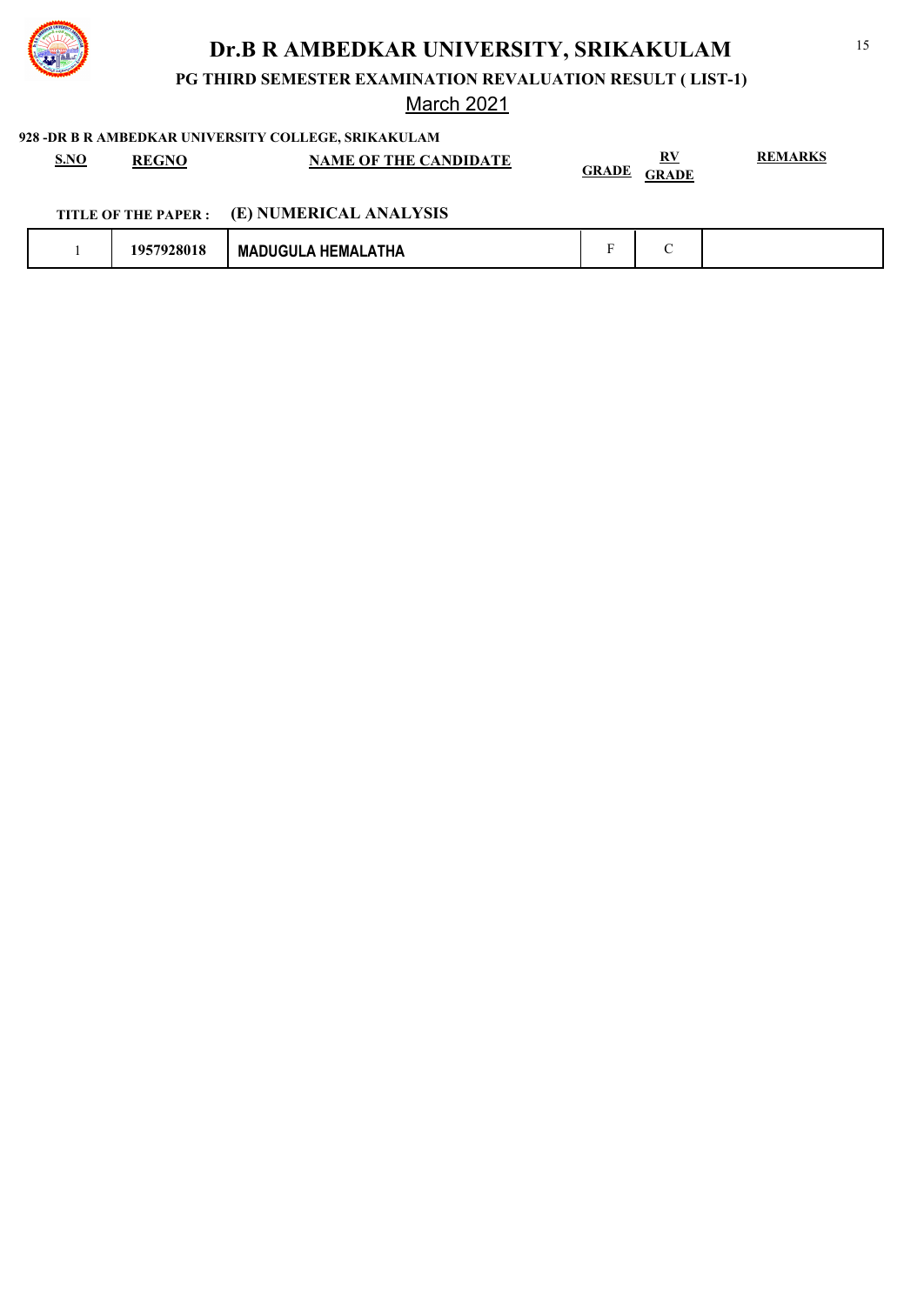

**PG THIRD SEMESTER EXAMINATION REVALUATION RESULT ( LIST-1)**

## March 2021

| <b>S.NO</b><br><b>REGNO</b> | NAME OF THE CANDIDATE                       | <b>GRADE GRADE</b> | <b>REMARKS</b> |
|-----------------------------|---------------------------------------------|--------------------|----------------|
|                             | TITLE OF THE PAPER : (E) NUMERICAL ANALYSIS |                    |                |

|  | 10 <sup>r</sup><br>. | <b>HEMALATHA</b><br>ונובזו ור<br>MА |  |  |
|--|----------------------|-------------------------------------|--|--|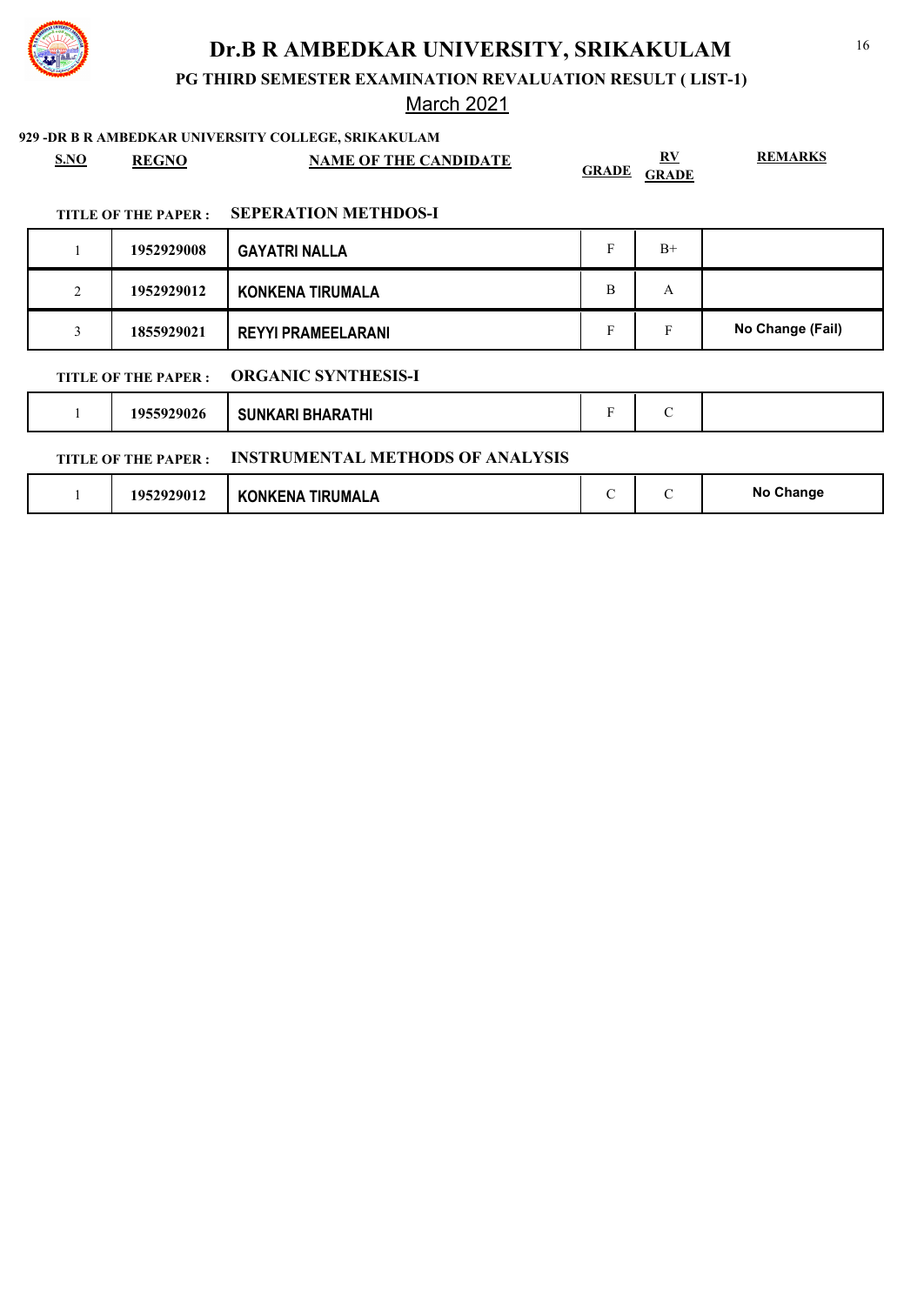

**PG THIRD SEMESTER EXAMINATION REVALUATION RESULT ( LIST-1)**

### March 2021

| S.NO | <b>REGNO</b>               | <b>NAME OF THE CANDIDATE</b>            | <b>GRADE</b>  | RV<br><b>GRADE</b> | <b>REMARKS</b>   |
|------|----------------------------|-----------------------------------------|---------------|--------------------|------------------|
|      | TITLE OF THE PAPER :       | <b>SEPERATION METHDOS-I</b>             |               |                    |                  |
|      | 1952929008                 | <b>GAYATRI NALLA</b>                    | F             | $B+$               |                  |
| 2    | 1952929012                 | <b>KONKENA TIRUMALA</b>                 | B             | $\mathbf{A}$       |                  |
| 3    | 1855929021                 | <b>REYYI PRAMEELARANI</b>               | F             | F                  | No Change (Fail) |
|      | TITLE OF THE PAPER :       | <b>ORGANIC SYNTHESIS-I</b>              |               |                    |                  |
|      | 1955929026                 | <b>SUNKARI BHARATHI</b>                 | F             | $\mathcal{C}$      |                  |
|      | <b>TITLE OF THE PAPER:</b> | <b>INSTRUMENTAL METHODS OF ANALYSIS</b> |               |                    |                  |
|      | 1952929012                 | <b>KONKENA TIRUMALA</b>                 | $\mathcal{C}$ | $\mathcal{C}$      | No Change        |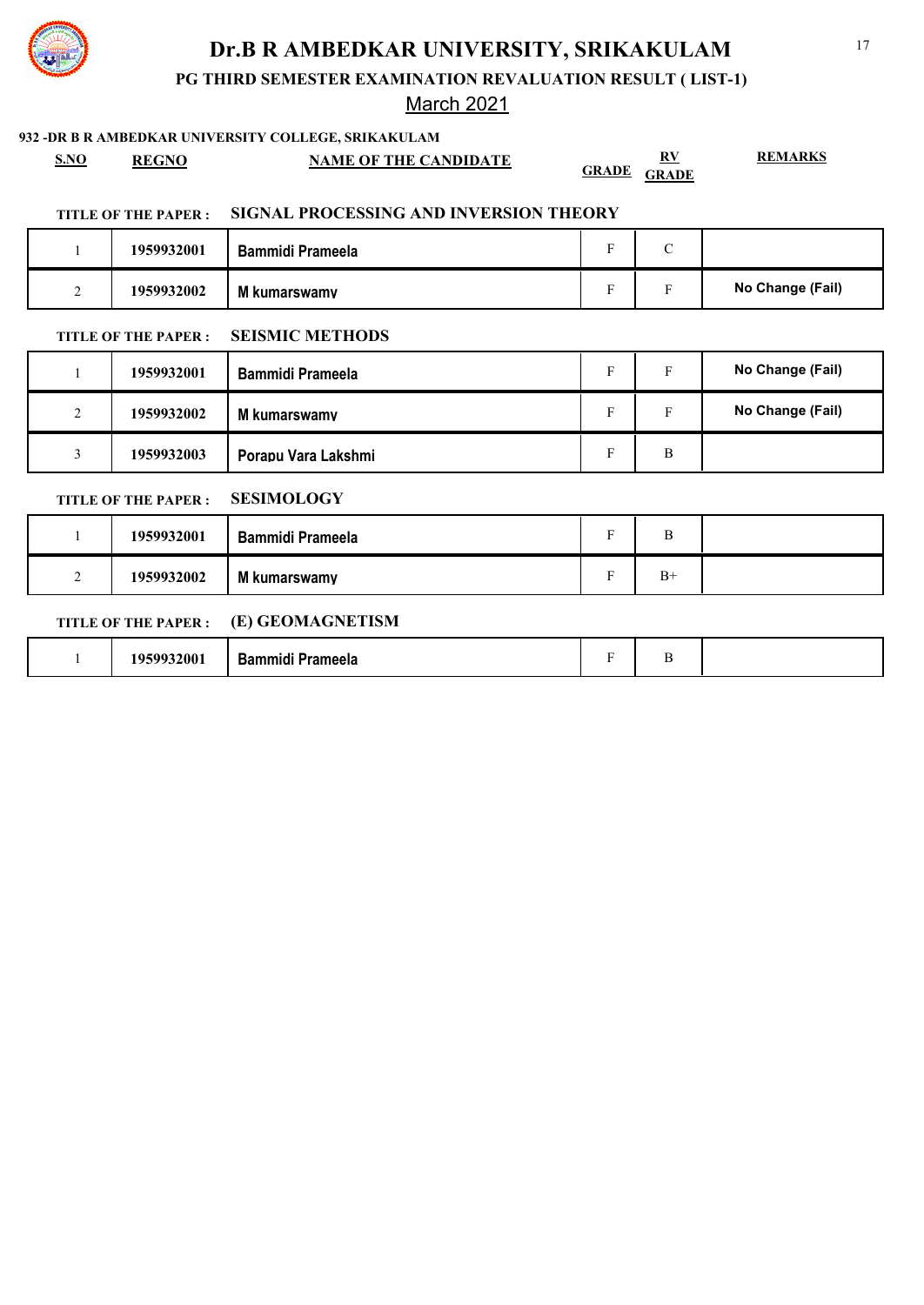

**PG THIRD SEMESTER EXAMINATION REVALUATION RESULT ( LIST-1)**

### March 2021

### **932 -DR B R AMBEDKAR UNIVERSITY COLLEGE, SRIKAKULAM**

**S.NO REGNO NAME OF THE CANDIDATE RV**

**GRADE GRADE**

**REMARKS**

### **TITLE OF THE PAPER : SIGNAL PROCESSING AND INVERSION THEORY**

|   | 1959932001 | <b>Bammidi Prameela</b> | $\sqrt{ }$<br>◡ |                  |
|---|------------|-------------------------|-----------------|------------------|
| - | 1959932002 | M kumarswamy            |                 | No Change (Fail) |

### **TITLE OF THE PAPER : SEISMIC METHODS**

|                    | 1959932001 | <b>Bammidi Prameela</b> | Е | Е | No Change (Fail) |
|--------------------|------------|-------------------------|---|---|------------------|
| $\mathcal{L}$<br>∠ | 1959932002 | M kumarswamy            | Е | Е | No Change (Fail) |
| ◡                  | 1959932003 | Porapu Vara Lakshmi     |   | B |                  |

#### **TITLE OF THE PAPER : SESIMOLOGY**

|   | 1959932001 | <b>Bammidi Prameela</b> |      |  |
|---|------------|-------------------------|------|--|
| - | 1959932002 | M kumarswamy            | $B+$ |  |

### **TITLE OF THE PAPER : (E) GEOMAGNETISM**

|--|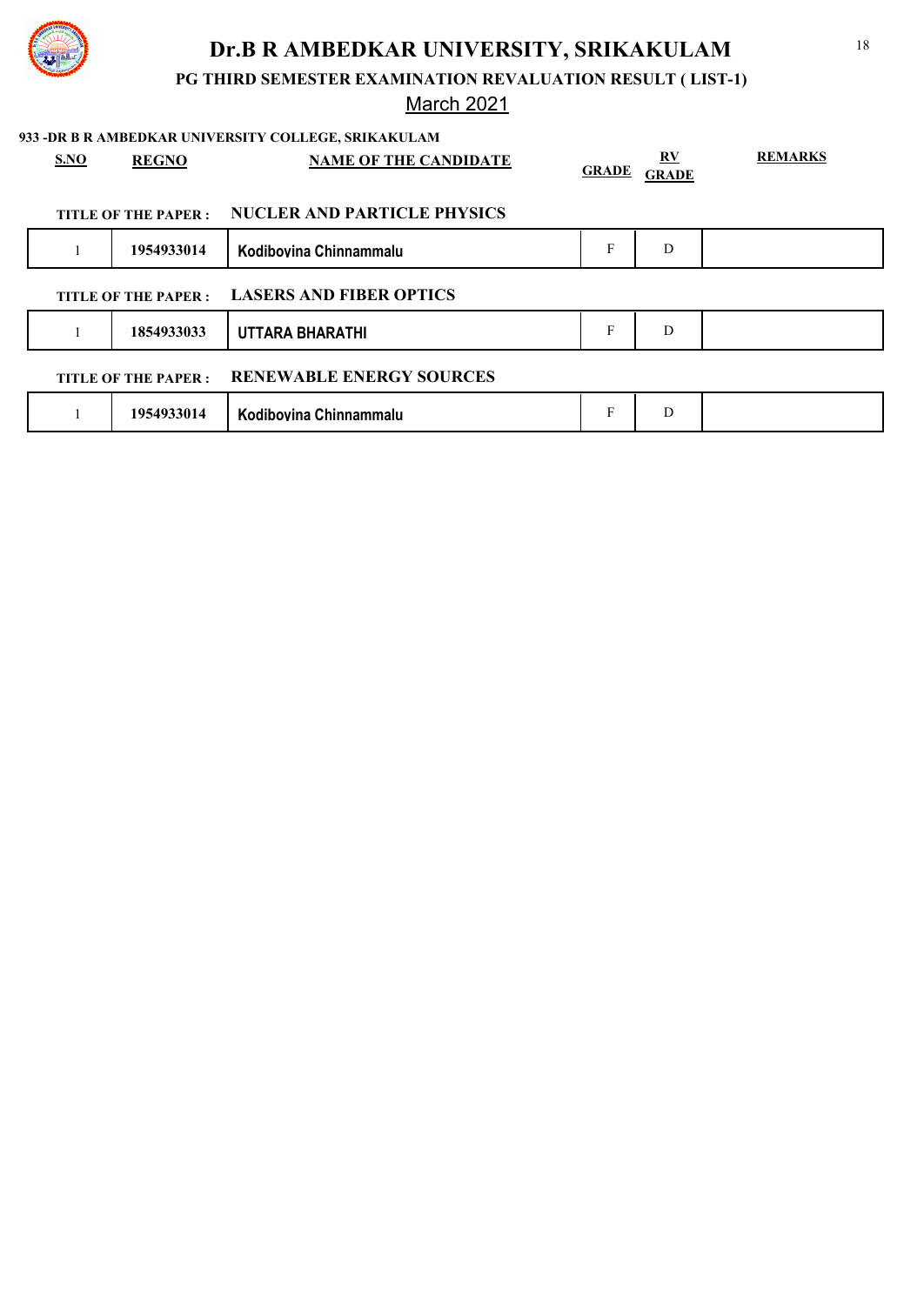

**PG THIRD SEMESTER EXAMINATION REVALUATION RESULT ( LIST-1)**

# March 2021

|      |                      | 933 -DR B R AMBEDKAR UNIVERSITY COLLEGE, SRIKAKULAM |              |                                         |                |
|------|----------------------|-----------------------------------------------------|--------------|-----------------------------------------|----------------|
| S.NO | <b>REGNO</b>         | <b>NAME OF THE CANDIDATE</b>                        | <b>GRADE</b> | $\mathbf{R} \mathbf{V}$<br><b>GRADE</b> | <b>REMARKS</b> |
|      | TITLE OF THE PAPER : | <b>NUCLER AND PARTICLE PHYSICS</b>                  |              |                                         |                |
|      | 1954933014           | Kodibovina Chinnammalu                              | F            | D                                       |                |
|      | TITLE OF THE PAPER : | <b>LASERS AND FIBER OPTICS</b>                      |              |                                         |                |
|      | 1854933033           | UTTARA BHARATHI                                     | F            | D                                       |                |
|      | TITLE OF THE PAPER : | <b>RENEWABLE ENERGY SOURCES</b>                     |              |                                         |                |
|      | 1954933014           | Kodibovina Chinnammalu                              | F            | D                                       |                |